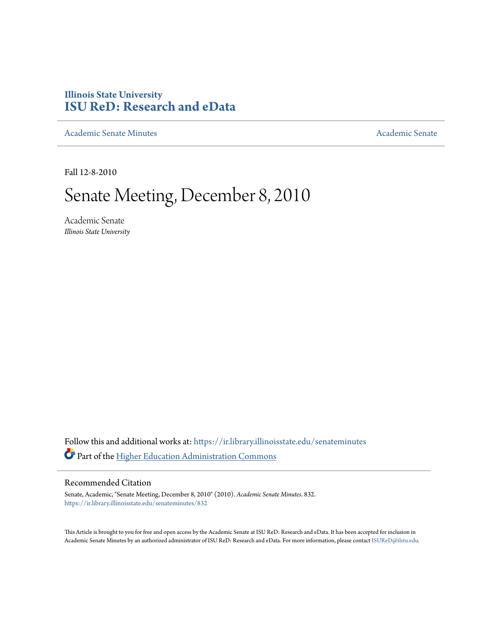## **Illinois State University [ISU ReD: Research and eData](https://ir.library.illinoisstate.edu?utm_source=ir.library.illinoisstate.edu%2Fsenateminutes%2F832&utm_medium=PDF&utm_campaign=PDFCoverPages)**

[Academic Senate Minutes](https://ir.library.illinoisstate.edu/senateminutes?utm_source=ir.library.illinoisstate.edu%2Fsenateminutes%2F832&utm_medium=PDF&utm_campaign=PDFCoverPages) [Academic Senate](https://ir.library.illinoisstate.edu/senate?utm_source=ir.library.illinoisstate.edu%2Fsenateminutes%2F832&utm_medium=PDF&utm_campaign=PDFCoverPages) Academic Senate

Fall 12-8-2010

# Senate Meeting, December 8, 2010

Academic Senate *Illinois State University*

Follow this and additional works at: [https://ir.library.illinoisstate.edu/senateminutes](https://ir.library.illinoisstate.edu/senateminutes?utm_source=ir.library.illinoisstate.edu%2Fsenateminutes%2F832&utm_medium=PDF&utm_campaign=PDFCoverPages) Part of the [Higher Education Administration Commons](http://network.bepress.com/hgg/discipline/791?utm_source=ir.library.illinoisstate.edu%2Fsenateminutes%2F832&utm_medium=PDF&utm_campaign=PDFCoverPages)

#### Recommended Citation

Senate, Academic, "Senate Meeting, December 8, 2010" (2010). *Academic Senate Minutes*. 832. [https://ir.library.illinoisstate.edu/senateminutes/832](https://ir.library.illinoisstate.edu/senateminutes/832?utm_source=ir.library.illinoisstate.edu%2Fsenateminutes%2F832&utm_medium=PDF&utm_campaign=PDFCoverPages)

This Article is brought to you for free and open access by the Academic Senate at ISU ReD: Research and eData. It has been accepted for inclusion in Academic Senate Minutes by an authorized administrator of ISU ReD: Research and eData. For more information, please contact [ISUReD@ilstu.edu.](mailto:ISUReD@ilstu.edu)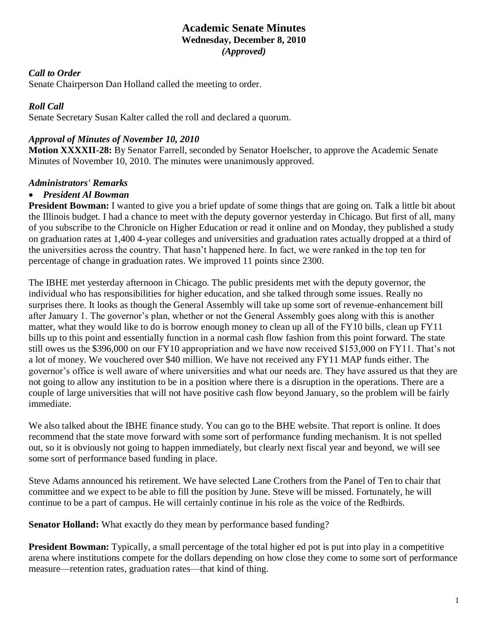### **Academic Senate Minutes Wednesday, December 8, 2010** *(Approved)*

#### *Call to Order*

Senate Chairperson Dan Holland called the meeting to order.

#### *Roll Call*

Senate Secretary Susan Kalter called the roll and declared a quorum.

#### *Approval of Minutes of November 10, 2010*

**Motion XXXXII-28:** By Senator Farrell, seconded by Senator Hoelscher, to approve the Academic Senate Minutes of November 10, 2010. The minutes were unanimously approved.

#### *Administrators' Remarks*

#### • *President Al Bowman*

**President Bowman:** I wanted to give you a brief update of some things that are going on. Talk a little bit about the Illinois budget. I had a chance to meet with the deputy governor yesterday in Chicago. But first of all, many of you subscribe to the Chronicle on Higher Education or read it online and on Monday, they published a study on graduation rates at 1,400 4-year colleges and universities and graduation rates actually dropped at a third of the universities across the country. That hasn't happened here. In fact, we were ranked in the top ten for percentage of change in graduation rates. We improved 11 points since 2300.

The IBHE met yesterday afternoon in Chicago. The public presidents met with the deputy governor, the individual who has responsibilities for higher education, and she talked through some issues. Really no surprises there. It looks as though the General Assembly will take up some sort of revenue-enhancement bill after January 1. The governor's plan, whether or not the General Assembly goes along with this is another matter, what they would like to do is borrow enough money to clean up all of the FY10 bills, clean up FY11 bills up to this point and essentially function in a normal cash flow fashion from this point forward. The state still owes us the \$396,000 on our FY10 appropriation and we have now received \$153,000 on FY11. That's not a lot of money. We vouchered over \$40 million. We have not received any FY11 MAP funds either. The governor's office is well aware of where universities and what our needs are. They have assured us that they are not going to allow any institution to be in a position where there is a disruption in the operations. There are a couple of large universities that will not have positive cash flow beyond January, so the problem will be fairly immediate.

We also talked about the IBHE finance study. You can go to the BHE website. That report is online. It does recommend that the state move forward with some sort of performance funding mechanism. It is not spelled out, so it is obviously not going to happen immediately, but clearly next fiscal year and beyond, we will see some sort of performance based funding in place.

Steve Adams announced his retirement. We have selected Lane Crothers from the Panel of Ten to chair that committee and we expect to be able to fill the position by June. Steve will be missed. Fortunately, he will continue to be a part of campus. He will certainly continue in his role as the voice of the Redbirds.

**Senator Holland:** What exactly do they mean by performance based funding?

**President Bowman:** Typically, a small percentage of the total higher ed pot is put into play in a competitive arena where institutions compete for the dollars depending on how close they come to some sort of performance measure—retention rates, graduation rates—that kind of thing.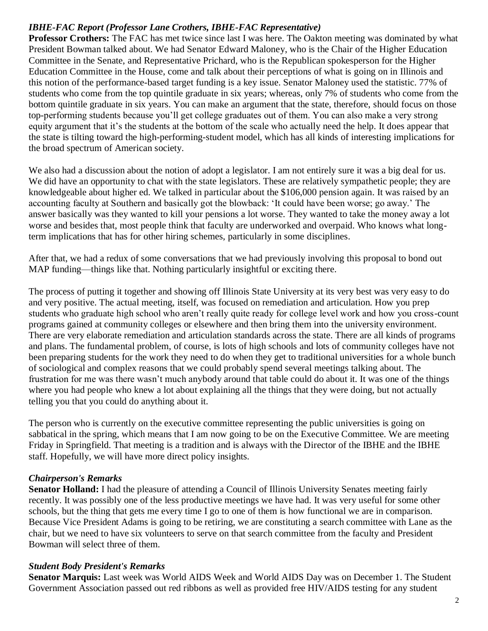#### *IBHE-FAC Report (Professor Lane Crothers, IBHE-FAC Representative)*

**Professor Crothers:** The FAC has met twice since last I was here. The Oakton meeting was dominated by what President Bowman talked about. We had Senator Edward Maloney, who is the Chair of the Higher Education Committee in the Senate, and Representative Prichard, who is the Republican spokesperson for the Higher Education Committee in the House, come and talk about their perceptions of what is going on in Illinois and this notion of the performance-based target funding is a key issue. Senator Maloney used the statistic. 77% of students who come from the top quintile graduate in six years; whereas, only 7% of students who come from the bottom quintile graduate in six years. You can make an argument that the state, therefore, should focus on those top-performing students because you'll get college graduates out of them. You can also make a very strong equity argument that it's the students at the bottom of the scale who actually need the help. It does appear that the state is tilting toward the high-performing-student model, which has all kinds of interesting implications for the broad spectrum of American society.

We also had a discussion about the notion of adopt a legislator. I am not entirely sure it was a big deal for us. We did have an opportunity to chat with the state legislators. These are relatively sympathetic people; they are knowledgeable about higher ed. We talked in particular about the \$106,000 pension again. It was raised by an accounting faculty at Southern and basically got the blowback: 'It could have been worse; go away.' The answer basically was they wanted to kill your pensions a lot worse. They wanted to take the money away a lot worse and besides that, most people think that faculty are underworked and overpaid. Who knows what longterm implications that has for other hiring schemes, particularly in some disciplines.

After that, we had a redux of some conversations that we had previously involving this proposal to bond out MAP funding—things like that. Nothing particularly insightful or exciting there.

The process of putting it together and showing off Illinois State University at its very best was very easy to do and very positive. The actual meeting, itself, was focused on remediation and articulation. How you prep students who graduate high school who aren't really quite ready for college level work and how you cross-count programs gained at community colleges or elsewhere and then bring them into the university environment. There are very elaborate remediation and articulation standards across the state. There are all kinds of programs and plans. The fundamental problem, of course, is lots of high schools and lots of community colleges have not been preparing students for the work they need to do when they get to traditional universities for a whole bunch of sociological and complex reasons that we could probably spend several meetings talking about. The frustration for me was there wasn't much anybody around that table could do about it. It was one of the things where you had people who knew a lot about explaining all the things that they were doing, but not actually telling you that you could do anything about it.

The person who is currently on the executive committee representing the public universities is going on sabbatical in the spring, which means that I am now going to be on the Executive Committee. We are meeting Friday in Springfield. That meeting is a tradition and is always with the Director of the IBHE and the IBHE staff. Hopefully, we will have more direct policy insights.

#### *Chairperson's Remarks*

**Senator Holland:** I had the pleasure of attending a Council of Illinois University Senates meeting fairly recently. It was possibly one of the less productive meetings we have had. It was very useful for some other schools, but the thing that gets me every time I go to one of them is how functional we are in comparison. Because Vice President Adams is going to be retiring, we are constituting a search committee with Lane as the chair, but we need to have six volunteers to serve on that search committee from the faculty and President Bowman will select three of them.

#### *Student Body President's Remarks*

**Senator Marquis:** Last week was World AIDS Week and World AIDS Day was on December 1. The Student Government Association passed out red ribbons as well as provided free HIV/AIDS testing for any student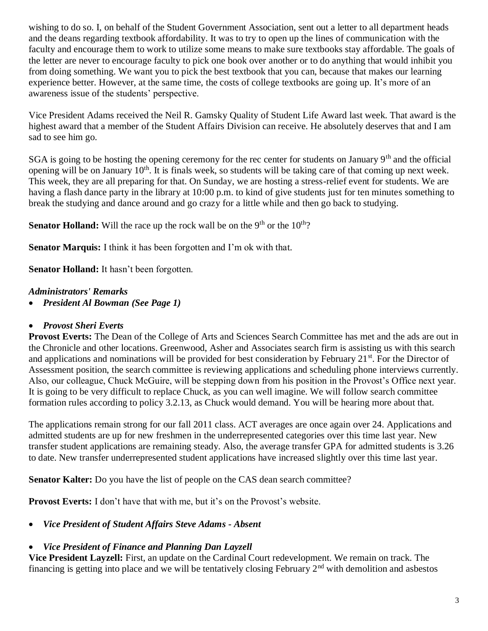wishing to do so. I, on behalf of the Student Government Association, sent out a letter to all department heads and the deans regarding textbook affordability. It was to try to open up the lines of communication with the faculty and encourage them to work to utilize some means to make sure textbooks stay affordable. The goals of the letter are never to encourage faculty to pick one book over another or to do anything that would inhibit you from doing something. We want you to pick the best textbook that you can, because that makes our learning experience better. However, at the same time, the costs of college textbooks are going up. It's more of an awareness issue of the students' perspective.

Vice President Adams received the Neil R. Gamsky Quality of Student Life Award last week. That award is the highest award that a member of the Student Affairs Division can receive. He absolutely deserves that and I am sad to see him go.

SGA is going to be hosting the opening ceremony for the rec center for students on January 9<sup>th</sup> and the official opening will be on January  $10<sup>th</sup>$ . It is finals week, so students will be taking care of that coming up next week. This week, they are all preparing for that. On Sunday, we are hosting a stress-relief event for students. We are having a flash dance party in the library at 10:00 p.m. to kind of give students just for ten minutes something to break the studying and dance around and go crazy for a little while and then go back to studying.

**Senator Holland:** Will the race up the rock wall be on the 9<sup>th</sup> or the 10<sup>th</sup>?

**Senator Marquis:** I think it has been forgotten and I'm ok with that.

**Senator Holland:** It hasn't been forgotten.

#### *Administrators' Remarks*

• *President Al Bowman (See Page 1)*

#### • *Provost Sheri Everts*

**Provost Everts:** The Dean of the College of Arts and Sciences Search Committee has met and the ads are out in the Chronicle and other locations. Greenwood, Asher and Associates search firm is assisting us with this search and applications and nominations will be provided for best consideration by February 21<sup>st</sup>. For the Director of Assessment position, the search committee is reviewing applications and scheduling phone interviews currently. Also, our colleague, Chuck McGuire, will be stepping down from his position in the Provost's Office next year. It is going to be very difficult to replace Chuck, as you can well imagine. We will follow search committee formation rules according to policy 3.2.13, as Chuck would demand. You will be hearing more about that.

The applications remain strong for our fall 2011 class. ACT averages are once again over 24. Applications and admitted students are up for new freshmen in the underrepresented categories over this time last year. New transfer student applications are remaining steady. Also, the average transfer GPA for admitted students is 3.26 to date. New transfer underrepresented student applications have increased slightly over this time last year.

**Senator Kalter:** Do you have the list of people on the CAS dean search committee?

**Provost Everts:** I don't have that with me, but it's on the Provost's website.

• *Vice President of Student Affairs Steve Adams - Absent*

## • *Vice President of Finance and Planning Dan Layzell*

**Vice President Layzell:** First, an update on the Cardinal Court redevelopment. We remain on track. The financing is getting into place and we will be tentatively closing February  $2<sup>nd</sup>$  with demolition and asbestos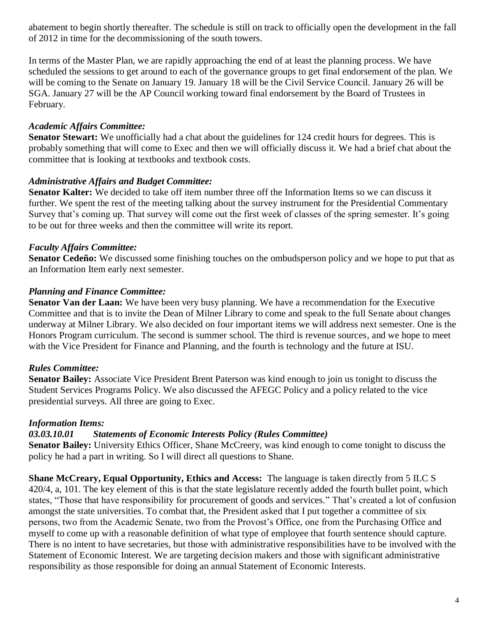abatement to begin shortly thereafter. The schedule is still on track to officially open the development in the fall of 2012 in time for the decommissioning of the south towers.

In terms of the Master Plan, we are rapidly approaching the end of at least the planning process. We have scheduled the sessions to get around to each of the governance groups to get final endorsement of the plan. We will be coming to the Senate on January 19. January 18 will be the Civil Service Council. January 26 will be SGA. January 27 will be the AP Council working toward final endorsement by the Board of Trustees in February.

#### *Academic Affairs Committee:*

**Senator Stewart:** We unofficially had a chat about the guidelines for 124 credit hours for degrees. This is probably something that will come to Exec and then we will officially discuss it. We had a brief chat about the committee that is looking at textbooks and textbook costs.

#### *Administrative Affairs and Budget Committee:*

**Senator Kalter:** We decided to take off item number three off the Information Items so we can discuss it further. We spent the rest of the meeting talking about the survey instrument for the Presidential Commentary Survey that's coming up. That survey will come out the first week of classes of the spring semester. It's going to be out for three weeks and then the committee will write its report.

#### *Faculty Affairs Committee:*

**Senator Cedeño:** We discussed some finishing touches on the ombudsperson policy and we hope to put that as an Information Item early next semester.

#### *Planning and Finance Committee:*

**Senator Van der Laan:** We have been very busy planning. We have a recommendation for the Executive Committee and that is to invite the Dean of Milner Library to come and speak to the full Senate about changes underway at Milner Library. We also decided on four important items we will address next semester. One is the Honors Program curriculum. The second is summer school. The third is revenue sources, and we hope to meet with the Vice President for Finance and Planning, and the fourth is technology and the future at ISU.

### *Rules Committee:*

**Senator Bailey:** Associate Vice President Brent Paterson was kind enough to join us tonight to discuss the Student Services Programs Policy. We also discussed the AFEGC Policy and a policy related to the vice presidential surveys. All three are going to Exec.

#### *Information Items:*

#### *03.03.10.01 Statements of Economic Interests Policy (Rules Committee)*

**Senator Bailey:** University Ethics Officer, Shane McCreery, was kind enough to come tonight to discuss the policy he had a part in writing. So I will direct all questions to Shane.

**Shane McCreary, Equal Opportunity, Ethics and Access:** The language is taken directly from 5 ILC S 420/4, a, 101. The key element of this is that the state legislature recently added the fourth bullet point, which states, "Those that have responsibility for procurement of goods and services." That's created a lot of confusion amongst the state universities. To combat that, the President asked that I put together a committee of six persons, two from the Academic Senate, two from the Provost's Office, one from the Purchasing Office and myself to come up with a reasonable definition of what type of employee that fourth sentence should capture. There is no intent to have secretaries, but those with administrative responsibilities have to be involved with the Statement of Economic Interest. We are targeting decision makers and those with significant administrative responsibility as those responsible for doing an annual Statement of Economic Interests.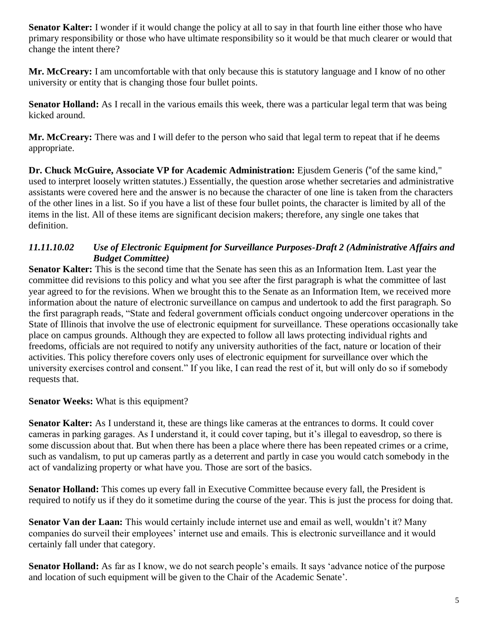**Senator Kalter:** I wonder if it would change the policy at all to say in that fourth line either those who have primary responsibility or those who have ultimate responsibility so it would be that much clearer or would that change the intent there?

**Mr. McCreary:** I am uncomfortable with that only because this is statutory language and I know of no other university or entity that is changing those four bullet points.

**Senator Holland:** As I recall in the various emails this week, there was a particular legal term that was being kicked around.

**Mr. McCreary:** There was and I will defer to the person who said that legal term to repeat that if he deems appropriate.

**Dr. Chuck McGuire, Associate VP for Academic Administration:** Ejusdem Generis ("of the same kind," used to interpret loosely written statutes.) Essentially, the question arose whether secretaries and administrative assistants were covered here and the answer is no because the character of one line is taken from the characters of the other lines in a list. So if you have a list of these four bullet points, the character is limited by all of the items in the list. All of these items are significant decision makers; therefore, any single one takes that definition.

### *11.11.10.02 Use of Electronic Equipment for Surveillance Purposes-Draft 2 (Administrative Affairs and Budget Committee)*

**Senator Kalter:** This is the second time that the Senate has seen this as an Information Item. Last year the committee did revisions to this policy and what you see after the first paragraph is what the committee of last year agreed to for the revisions. When we brought this to the Senate as an Information Item, we received more information about the nature of electronic surveillance on campus and undertook to add the first paragraph. So the first paragraph reads, "State and federal government officials conduct ongoing undercover operations in the State of Illinois that involve the use of electronic equipment for surveillance. These operations occasionally take place on campus grounds. Although they are expected to follow all laws protecting individual rights and freedoms, officials are not required to notify any university authorities of the fact, nature or location of their activities. This policy therefore covers only uses of electronic equipment for surveillance over which the university exercises control and consent." If you like, I can read the rest of it, but will only do so if somebody requests that.

### **Senator Weeks:** What is this equipment?

**Senator Kalter:** As I understand it, these are things like cameras at the entrances to dorms. It could cover cameras in parking garages. As I understand it, it could cover taping, but it's illegal to eavesdrop, so there is some discussion about that. But when there has been a place where there has been repeated crimes or a crime, such as vandalism, to put up cameras partly as a deterrent and partly in case you would catch somebody in the act of vandalizing property or what have you. Those are sort of the basics.

**Senator Holland:** This comes up every fall in Executive Committee because every fall, the President is required to notify us if they do it sometime during the course of the year. This is just the process for doing that.

**Senator Van der Laan:** This would certainly include internet use and email as well, wouldn't it? Many companies do surveil their employees' internet use and emails. This is electronic surveillance and it would certainly fall under that category.

**Senator Holland:** As far as I know, we do not search people's emails. It says 'advance notice of the purpose and location of such equipment will be given to the Chair of the Academic Senate'.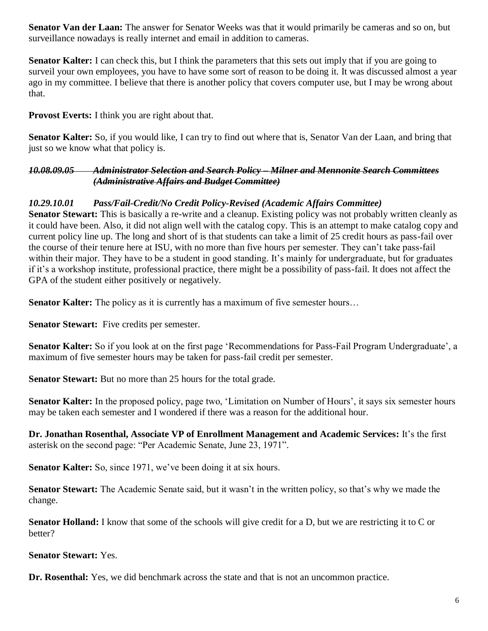**Senator Van der Laan:** The answer for Senator Weeks was that it would primarily be cameras and so on, but surveillance nowadays is really internet and email in addition to cameras.

**Senator Kalter:** I can check this, but I think the parameters that this sets out imply that if you are going to surveil your own employees, you have to have some sort of reason to be doing it. It was discussed almost a year ago in my committee. I believe that there is another policy that covers computer use, but I may be wrong about that.

**Provost Everts:** I think you are right about that.

**Senator Kalter:** So, if you would like, I can try to find out where that is, Senator Van der Laan, and bring that just so we know what that policy is.

*10.08.09.05 Administrator Selection and Search Policy – Milner and Mennonite Search Committees (Administrative Affairs and Budget Committee)*

#### *10.29.10.01 Pass/Fail-Credit/No Credit Policy-Revised (Academic Affairs Committee)*

**Senator Stewart:** This is basically a re-write and a cleanup. Existing policy was not probably written cleanly as it could have been. Also, it did not align well with the catalog copy. This is an attempt to make catalog copy and current policy line up. The long and short of is that students can take a limit of 25 credit hours as pass-fail over the course of their tenure here at ISU, with no more than five hours per semester. They can't take pass-fail within their major. They have to be a student in good standing. It's mainly for undergraduate, but for graduates if it's a workshop institute, professional practice, there might be a possibility of pass-fail. It does not affect the GPA of the student either positively or negatively.

**Senator Kalter:** The policy as it is currently has a maximum of five semester hours...

**Senator Stewart:** Five credits per semester.

**Senator Kalter:** So if you look at on the first page 'Recommendations for Pass-Fail Program Undergraduate', a maximum of five semester hours may be taken for pass-fail credit per semester.

**Senator Stewart:** But no more than 25 hours for the total grade.

**Senator Kalter:** In the proposed policy, page two, 'Limitation on Number of Hours', it says six semester hours may be taken each semester and I wondered if there was a reason for the additional hour.

**Dr. Jonathan Rosenthal, Associate VP of Enrollment Management and Academic Services:** It's the first asterisk on the second page: "Per Academic Senate, June 23, 1971".

**Senator Kalter:** So, since 1971, we've been doing it at six hours.

**Senator Stewart:** The Academic Senate said, but it wasn't in the written policy, so that's why we made the change.

**Senator Holland:** I know that some of the schools will give credit for a D, but we are restricting it to C or better?

**Senator Stewart:** Yes.

**Dr. Rosenthal:** Yes, we did benchmark across the state and that is not an uncommon practice.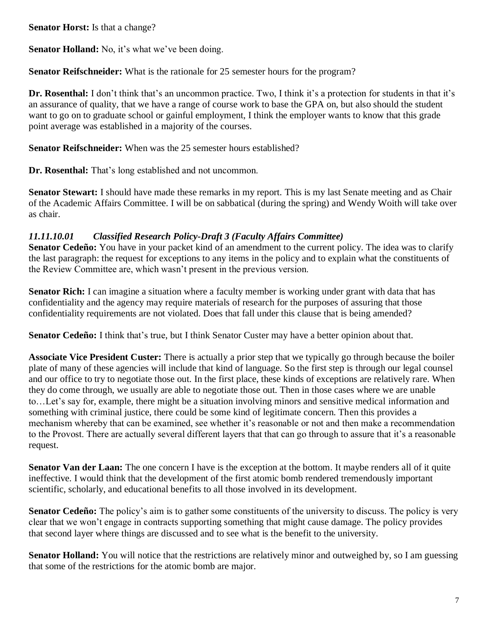**Senator Horst:** Is that a change?

**Senator Holland:** No, it's what we've been doing.

**Senator Reifschneider:** What is the rationale for 25 semester hours for the program?

**Dr. Rosenthal:** I don't think that's an uncommon practice. Two, I think it's a protection for students in that it's an assurance of quality, that we have a range of course work to base the GPA on, but also should the student want to go on to graduate school or gainful employment. I think the employer wants to know that this grade point average was established in a majority of the courses.

**Senator Reifschneider:** When was the 25 semester hours established?

**Dr. Rosenthal:** That's long established and not uncommon.

**Senator Stewart:** I should have made these remarks in my report. This is my last Senate meeting and as Chair of the Academic Affairs Committee. I will be on sabbatical (during the spring) and Wendy Woith will take over as chair.

## *11.11.10.01 Classified Research Policy-Draft 3 (Faculty Affairs Committee)*

**Senator Cedeño:** You have in your packet kind of an amendment to the current policy. The idea was to clarify the last paragraph: the request for exceptions to any items in the policy and to explain what the constituents of the Review Committee are, which wasn't present in the previous version.

**Senator Rich:** I can imagine a situation where a faculty member is working under grant with data that has confidentiality and the agency may require materials of research for the purposes of assuring that those confidentiality requirements are not violated. Does that fall under this clause that is being amended?

**Senator Cedeño:** I think that's true, but I think Senator Custer may have a better opinion about that.

**Associate Vice President Custer:** There is actually a prior step that we typically go through because the boiler plate of many of these agencies will include that kind of language. So the first step is through our legal counsel and our office to try to negotiate those out. In the first place, these kinds of exceptions are relatively rare. When they do come through, we usually are able to negotiate those out. Then in those cases where we are unable to…Let's say for, example, there might be a situation involving minors and sensitive medical information and something with criminal justice, there could be some kind of legitimate concern. Then this provides a mechanism whereby that can be examined, see whether it's reasonable or not and then make a recommendation to the Provost. There are actually several different layers that that can go through to assure that it's a reasonable request.

**Senator Van der Laan:** The one concern I have is the exception at the bottom. It maybe renders all of it quite ineffective. I would think that the development of the first atomic bomb rendered tremendously important scientific, scholarly, and educational benefits to all those involved in its development.

**Senator Cedeño:** The policy's aim is to gather some constituents of the university to discuss. The policy is very clear that we won't engage in contracts supporting something that might cause damage. The policy provides that second layer where things are discussed and to see what is the benefit to the university.

**Senator Holland:** You will notice that the restrictions are relatively minor and outweighed by, so I am guessing that some of the restrictions for the atomic bomb are major.